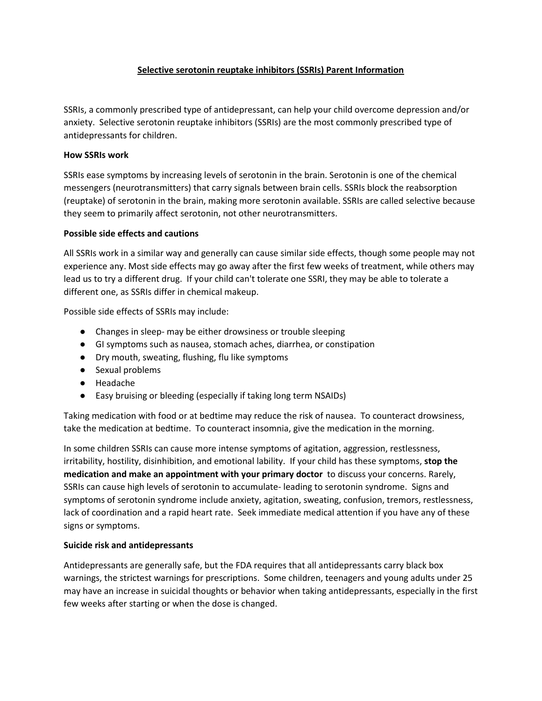## **Selective serotonin reuptake inhibitors (SSRIs) Parent Information**

SSRIs, a commonly prescribed type of antidepressant, can help your child overcome depression and/or anxiety. Selective serotonin reuptake inhibitors (SSRIs) are the most commonly prescribed type of antidepressants for children.

### **How SSRIs work**

SSRIs ease symptoms by increasing levels of serotonin in the brain. Serotonin is one of the chemical messengers (neurotransmitters) that carry signals between brain cells. SSRIs block the reabsorption (reuptake) of serotonin in the brain, making more serotonin available. SSRIs are called selective because they seem to primarily affect serotonin, not other neurotransmitters.

## **Possible side effects and cautions**

All SSRIs work in a similar way and generally can cause similar side effects, though some people may not experience any. Most side effects may go away after the first few weeks of treatment, while others may lead us to try a different drug. If your child can't tolerate one SSRI, they may be able to tolerate a different one, as SSRIs differ in chemical makeup.

Possible side effects of SSRIs may include:

- Changes in sleep- may be either drowsiness or trouble sleeping
- GI symptoms such as nausea, stomach aches, diarrhea, or constipation
- Dry mouth, sweating, flushing, flu like symptoms
- Sexual problems
- Headache
- Easy bruising or bleeding (especially if taking long term NSAIDs)

Taking medication with food or at bedtime may reduce the risk of nausea. To counteract drowsiness, take the medication at bedtime. To counteract insomnia, give the medication in the morning.

In some children SSRIs can cause more intense symptoms of agitation, aggression, restlessness, irritability, hostility, disinhibition, and emotional lability. If your child has these symptoms, **stop the medication and make an appointment with your primary doctor** to discuss your concerns. Rarely, SSRIs can cause high levels of serotonin to accumulate- leading to serotonin syndrome. Signs and symptoms of serotonin syndrome include anxiety, agitation, sweating, confusion, tremors, restlessness, lack of coordination and a rapid heart rate. Seek immediate medical attention if you have any of these signs or symptoms.

## **Suicide risk and antidepressants**

Antidepressants are generally safe, but the FDA requires that all antidepressants carry black box warnings, the strictest warnings for prescriptions. Some children, teenagers and young adults under 25 may have an increase in suicidal thoughts or behavior when taking antidepressants, especially in the first few weeks after starting or when the dose is changed.